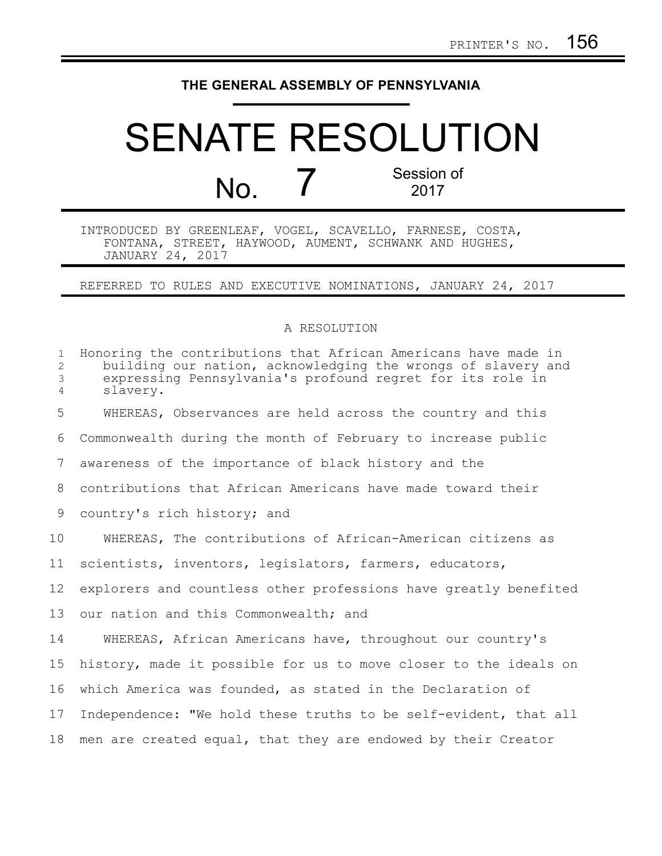## **THE GENERAL ASSEMBLY OF PENNSYLVANIA**

## SENATE RESOLUTION No. 7 Session of 2017

INTRODUCED BY GREENLEAF, VOGEL, SCAVELLO, FARNESE, COSTA, FONTANA, STREET, HAYWOOD, AUMENT, SCHWANK AND HUGHES, JANUARY 24, 2017

REFERRED TO RULES AND EXECUTIVE NOMINATIONS, JANUARY 24, 2017

## A RESOLUTION

| $\mathbf{1}$<br>$\mathbf{2}$<br>$\mathfrak{Z}$<br>$\overline{4}$ | Honoring the contributions that African Americans have made in<br>building our nation, acknowledging the wrongs of slavery and<br>expressing Pennsylvania's profound regret for its role in<br>slavery. |
|------------------------------------------------------------------|---------------------------------------------------------------------------------------------------------------------------------------------------------------------------------------------------------|
| 5                                                                | WHEREAS, Observances are held across the country and this                                                                                                                                               |
| 6                                                                | Commonwealth during the month of February to increase public                                                                                                                                            |
| 7                                                                | awareness of the importance of black history and the                                                                                                                                                    |
| 8                                                                | contributions that African Americans have made toward their                                                                                                                                             |
| 9                                                                | country's rich history; and                                                                                                                                                                             |
| 10                                                               | WHEREAS, The contributions of African-American citizens as                                                                                                                                              |
| 11                                                               | scientists, inventors, legislators, farmers, educators,                                                                                                                                                 |
| 12                                                               | explorers and countless other professions have greatly benefited                                                                                                                                        |
| 13                                                               | our nation and this Commonwealth; and                                                                                                                                                                   |
| 14                                                               | WHEREAS, African Americans have, throughout our country's                                                                                                                                               |
| 15                                                               | history, made it possible for us to move closer to the ideals on                                                                                                                                        |
| 16                                                               | which America was founded, as stated in the Declaration of                                                                                                                                              |
| 17                                                               | Independence: "We hold these truths to be self-evident, that all                                                                                                                                        |
| 18                                                               | men are created equal, that they are endowed by their Creator                                                                                                                                           |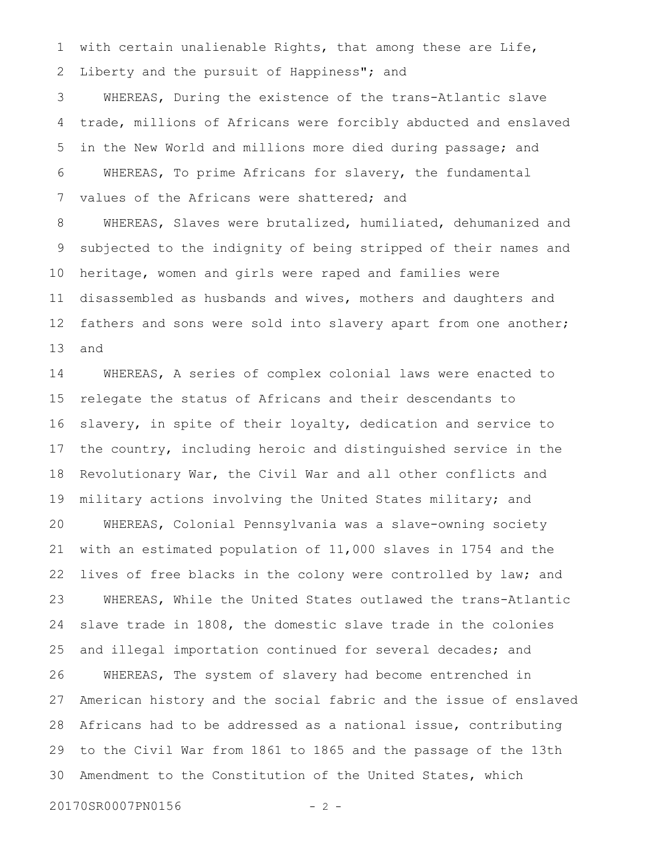with certain unalienable Rights, that among these are Life, Liberty and the pursuit of Happiness"; and 1 2

WHEREAS, During the existence of the trans-Atlantic slave trade, millions of Africans were forcibly abducted and enslaved in the New World and millions more died during passage; and WHEREAS, To prime Africans for slavery, the fundamental values of the Africans were shattered; and 3 4 5 6 7

WHEREAS, Slaves were brutalized, humiliated, dehumanized and subjected to the indignity of being stripped of their names and heritage, women and girls were raped and families were disassembled as husbands and wives, mothers and daughters and fathers and sons were sold into slavery apart from one another; and 8 9 10 11 12 13

WHEREAS, A series of complex colonial laws were enacted to relegate the status of Africans and their descendants to slavery, in spite of their loyalty, dedication and service to the country, including heroic and distinguished service in the Revolutionary War, the Civil War and all other conflicts and military actions involving the United States military; and WHEREAS, Colonial Pennsylvania was a slave-owning society with an estimated population of 11,000 slaves in 1754 and the lives of free blacks in the colony were controlled by law; and WHEREAS, While the United States outlawed the trans-Atlantic slave trade in 1808, the domestic slave trade in the colonies and illegal importation continued for several decades; and WHEREAS, The system of slavery had become entrenched in American history and the social fabric and the issue of enslaved Africans had to be addressed as a national issue, contributing to the Civil War from 1861 to 1865 and the passage of the 13th Amendment to the Constitution of the United States, which 14 15 16 17 18 19 20 21 22 23 24 25 26 27 28 29 30

20170SR0007PN0156 - 2 -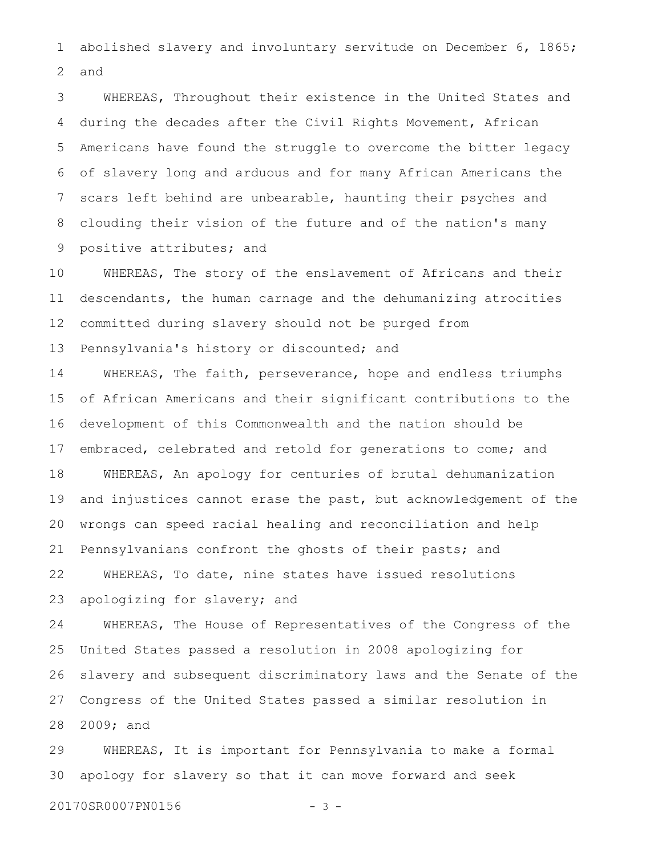abolished slavery and involuntary servitude on December 6, 1865; and 1 2

WHEREAS, Throughout their existence in the United States and during the decades after the Civil Rights Movement, African Americans have found the struggle to overcome the bitter legacy of slavery long and arduous and for many African Americans the scars left behind are unbearable, haunting their psyches and clouding their vision of the future and of the nation's many positive attributes; and 3 4 5 6 7 8 9

WHEREAS, The story of the enslavement of Africans and their descendants, the human carnage and the dehumanizing atrocities committed during slavery should not be purged from Pennsylvania's history or discounted; and 10 11 12 13

WHEREAS, The faith, perseverance, hope and endless triumphs of African Americans and their significant contributions to the development of this Commonwealth and the nation should be embraced, celebrated and retold for generations to come; and WHEREAS, An apology for centuries of brutal dehumanization and injustices cannot erase the past, but acknowledgement of the wrongs can speed racial healing and reconciliation and help Pennsylvanians confront the ghosts of their pasts; and WHEREAS, To date, nine states have issued resolutions 14 15 16 17 18 19 20 21 22

apologizing for slavery; and 23

WHEREAS, The House of Representatives of the Congress of the United States passed a resolution in 2008 apologizing for slavery and subsequent discriminatory laws and the Senate of the Congress of the United States passed a similar resolution in 2009; and 24 25 26 27 28

WHEREAS, It is important for Pennsylvania to make a formal apology for slavery so that it can move forward and seek 29 30

20170SR0007PN0156 - 3 -